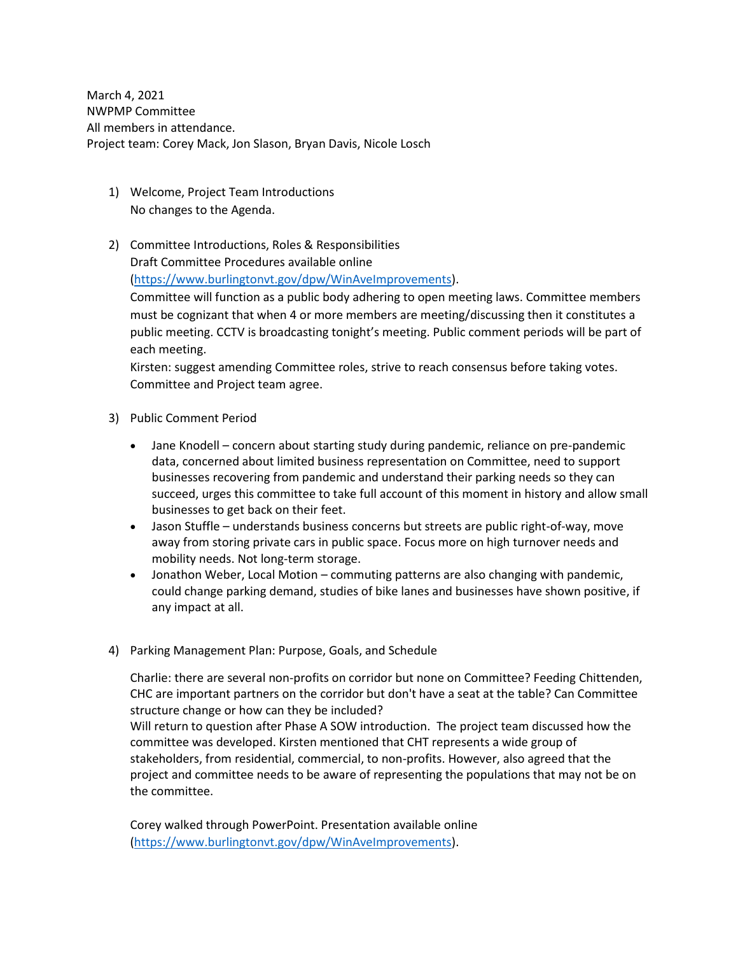March 4, 2021 NWPMP Committee All members in attendance. Project team: Corey Mack, Jon Slason, Bryan Davis, Nicole Losch

- 1) Welcome, Project Team Introductions No changes to the Agenda.
- 2) Committee Introductions, Roles & Responsibilities

Draft Committee Procedures available online

[\(https://www.burlingtonvt.gov/dpw/WinAveImprovements\)](https://www.burlingtonvt.gov/dpw/WinAveImprovements).

Committee will function as a public body adhering to open meeting laws. Committee members must be cognizant that when 4 or more members are meeting/discussing then it constitutes a public meeting. CCTV is broadcasting tonight's meeting. Public comment periods will be part of each meeting.

Kirsten: suggest amending Committee roles, strive to reach consensus before taking votes. Committee and Project team agree.

- 3) Public Comment Period
	- Jane Knodell concern about starting study during pandemic, reliance on pre-pandemic data, concerned about limited business representation on Committee, need to support businesses recovering from pandemic and understand their parking needs so they can succeed, urges this committee to take full account of this moment in history and allow small businesses to get back on their feet.
	- Jason Stuffle understands business concerns but streets are public right-of-way, move away from storing private cars in public space. Focus more on high turnover needs and mobility needs. Not long-term storage.
	- Jonathon Weber, Local Motion commuting patterns are also changing with pandemic, could change parking demand, studies of bike lanes and businesses have shown positive, if any impact at all.
- 4) Parking Management Plan: Purpose, Goals, and Schedule

Charlie: there are several non-profits on corridor but none on Committee? Feeding Chittenden, CHC are important partners on the corridor but don't have a seat at the table? Can Committee structure change or how can they be included?

Will return to question after Phase A SOW introduction. The project team discussed how the committee was developed. Kirsten mentioned that CHT represents a wide group of stakeholders, from residential, commercial, to non-profits. However, also agreed that the project and committee needs to be aware of representing the populations that may not be on the committee.

Corey walked through PowerPoint. Presentation available online [\(https://www.burlingtonvt.gov/dpw/WinAveImprovements\)](https://www.burlingtonvt.gov/dpw/WinAveImprovements).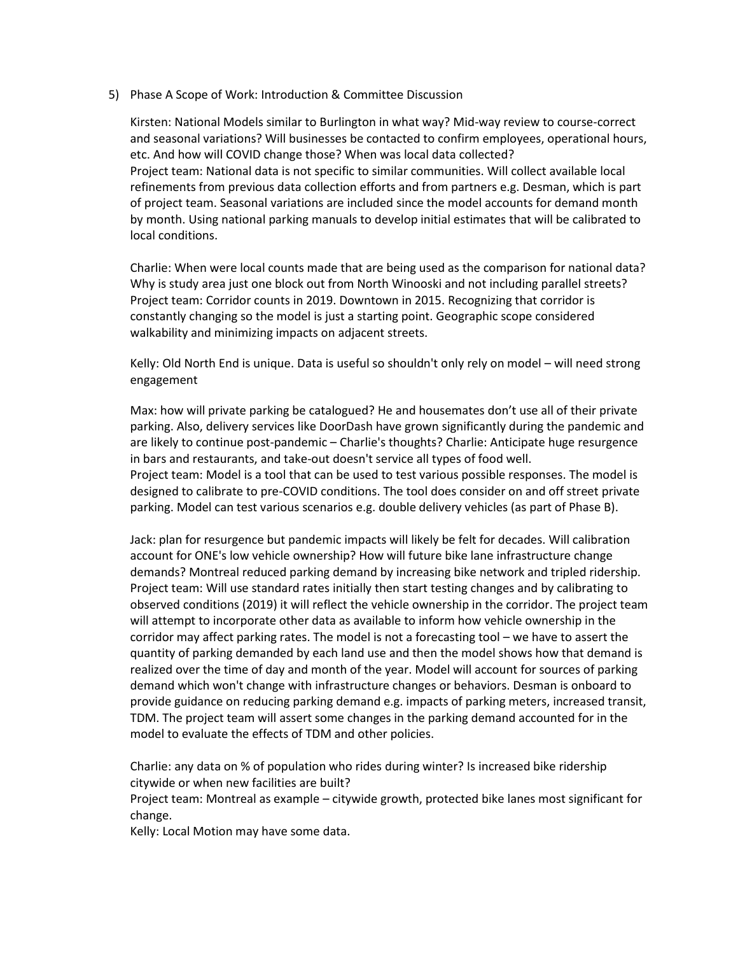## 5) Phase A Scope of Work: Introduction & Committee Discussion

Kirsten: National Models similar to Burlington in what way? Mid-way review to course-correct and seasonal variations? Will businesses be contacted to confirm employees, operational hours, etc. And how will COVID change those? When was local data collected? Project team: National data is not specific to similar communities. Will collect available local refinements from previous data collection efforts and from partners e.g. Desman, which is part of project team. Seasonal variations are included since the model accounts for demand month by month. Using national parking manuals to develop initial estimates that will be calibrated to local conditions.

Charlie: When were local counts made that are being used as the comparison for national data? Why is study area just one block out from North Winooski and not including parallel streets? Project team: Corridor counts in 2019. Downtown in 2015. Recognizing that corridor is constantly changing so the model is just a starting point. Geographic scope considered walkability and minimizing impacts on adjacent streets.

Kelly: Old North End is unique. Data is useful so shouldn't only rely on model – will need strong engagement

Max: how will private parking be catalogued? He and housemates don't use all of their private parking. Also, delivery services like DoorDash have grown significantly during the pandemic and are likely to continue post-pandemic – Charlie's thoughts? Charlie: Anticipate huge resurgence in bars and restaurants, and take-out doesn't service all types of food well. Project team: Model is a tool that can be used to test various possible responses. The model is designed to calibrate to pre-COVID conditions. The tool does consider on and off street private parking. Model can test various scenarios e.g. double delivery vehicles (as part of Phase B).

Jack: plan for resurgence but pandemic impacts will likely be felt for decades. Will calibration account for ONE's low vehicle ownership? How will future bike lane infrastructure change demands? Montreal reduced parking demand by increasing bike network and tripled ridership. Project team: Will use standard rates initially then start testing changes and by calibrating to observed conditions (2019) it will reflect the vehicle ownership in the corridor. The project team will attempt to incorporate other data as available to inform how vehicle ownership in the corridor may affect parking rates. The model is not a forecasting tool – we have to assert the quantity of parking demanded by each land use and then the model shows how that demand is realized over the time of day and month of the year. Model will account for sources of parking demand which won't change with infrastructure changes or behaviors. Desman is onboard to provide guidance on reducing parking demand e.g. impacts of parking meters, increased transit, TDM. The project team will assert some changes in the parking demand accounted for in the model to evaluate the effects of TDM and other policies.

Charlie: any data on % of population who rides during winter? Is increased bike ridership citywide or when new facilities are built?

Project team: Montreal as example – citywide growth, protected bike lanes most significant for change.

Kelly: Local Motion may have some data.